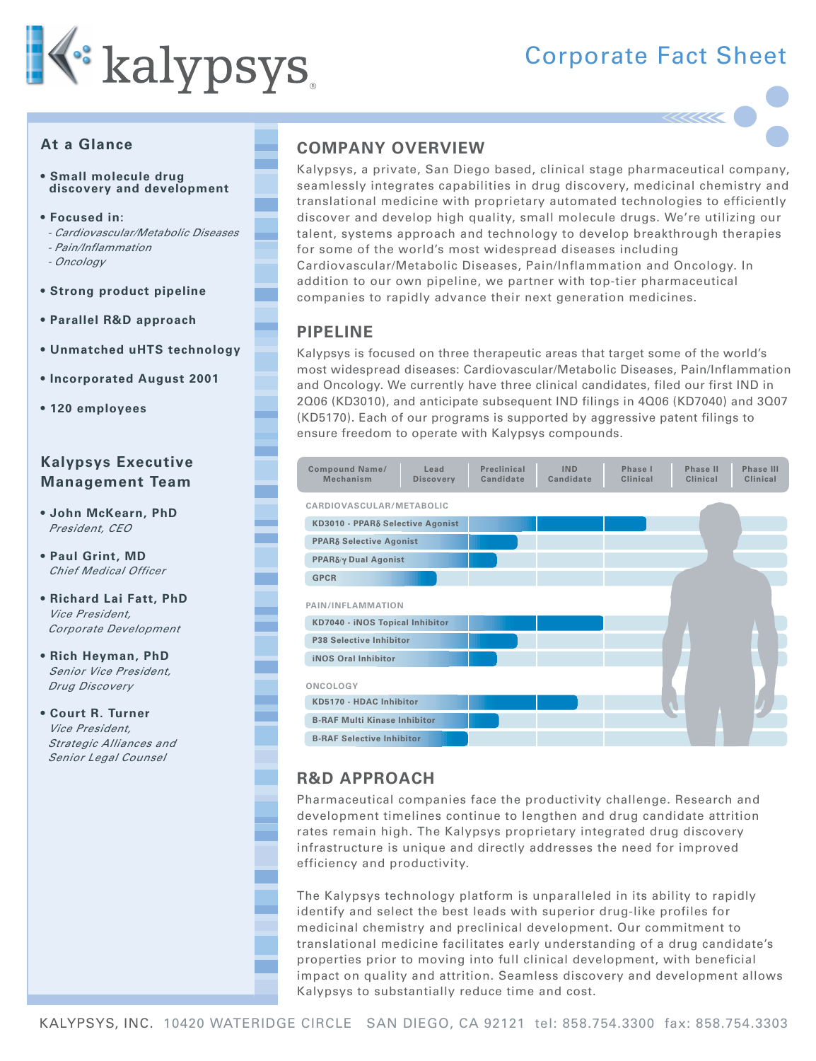

# **Corporate Fact Sheet**

## At a Glance

- · Small molecule drug discovery and development
- · Focused in:
- Cardiovascular/Metabolic Diseases
- Pain/Inflammation
- Oncology
- Strong product pipeline
- Parallel R&D approach
- Unmatched uHTS technology
- Incorporated August 2001
- 120 employees

# **Kalypsys Executive Management Team**

- . John McKearn, PhD President, CFO
- Paul Grint, MD **Chief Medical Officer**
- Richard Lai Fatt, PhD Vice President. Corporate Development
- Rich Heyman, PhD Senior Vice President, Drug Discovery
- Court R. Turner Vice President. Strategic Alliances and Senior Legal Counsel

# **COMPANY OVERVIEW**

Kalypsys, a private, San Diego based, clinical stage pharmaceutical company, seamlessly integrates capabilities in drug discovery, medicinal chemistry and translational medicine with proprietary automated technologies to efficiently discover and develop high quality, small molecule drugs. We're utilizing our talent, systems approach and technology to develop breakthrough therapies for some of the world's most widespread diseases including Cardiovascular/Metabolic Diseases, Pain/Inflammation and Oncology, In addition to our own pipeline, we partner with top-tier pharmaceutical companies to rapidly advance their next generation medicines.

## **PIPELINE**

Kalypsys is focused on three therapeutic areas that target some of the world's most widespread diseases: Cardiovascular/Metabolic Diseases, Pain/Inflammation and Oncology. We currently have three clinical candidates, filed our first IND in 2006 (KD3010), and anticipate subsequent IND filings in 4006 (KD7040) and 3007 (KD5170). Each of our programs is supported by aggressive patent filings to ensure freedom to operate with Kalypsys compounds.



# **R&D APPROACH**

Pharmaceutical companies face the productivity challenge. Research and development timelines continue to lengthen and drug candidate attrition rates remain high. The Kalypsys proprietary integrated drug discovery infrastructure is unique and directly addresses the need for improved efficiency and productivity.

The Kalypsys technology platform is unparalleled in its ability to rapidly identify and select the best leads with superior drug-like profiles for medicinal chemistry and preclinical development. Our commitment to translational medicine facilitates early understanding of a drug candidate's properties prior to moving into full clinical development, with beneficial impact on quality and attrition. Seamless discovery and development allows Kalypsys to substantially reduce time and cost.